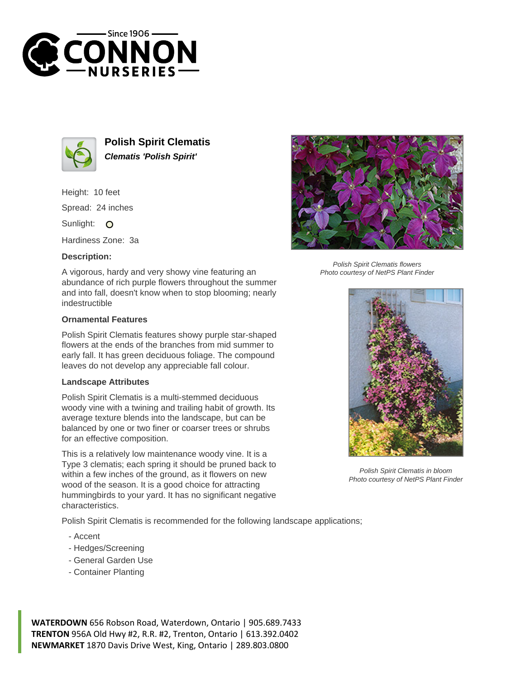



**Polish Spirit Clematis Clematis 'Polish Spirit'**

Height: 10 feet Spread: 24 inches

Sunlight: O

Hardiness Zone: 3a

## **Description:**

A vigorous, hardy and very showy vine featuring an abundance of rich purple flowers throughout the summer and into fall, doesn't know when to stop blooming; nearly indestructible

## **Ornamental Features**

Polish Spirit Clematis features showy purple star-shaped flowers at the ends of the branches from mid summer to early fall. It has green deciduous foliage. The compound leaves do not develop any appreciable fall colour.

## **Landscape Attributes**

Polish Spirit Clematis is a multi-stemmed deciduous woody vine with a twining and trailing habit of growth. Its average texture blends into the landscape, but can be balanced by one or two finer or coarser trees or shrubs for an effective composition.

This is a relatively low maintenance woody vine. It is a Type 3 clematis; each spring it should be pruned back to within a few inches of the ground, as it flowers on new wood of the season. It is a good choice for attracting hummingbirds to your yard. It has no significant negative characteristics.

Polish Spirit Clematis is recommended for the following landscape applications;

- Accent
- Hedges/Screening
- General Garden Use
- Container Planting

**WATERDOWN** 656 Robson Road, Waterdown, Ontario | 905.689.7433 **TRENTON** 956A Old Hwy #2, R.R. #2, Trenton, Ontario | 613.392.0402 **NEWMARKET** 1870 Davis Drive West, King, Ontario | 289.803.0800



Polish Spirit Clematis flowers Photo courtesy of NetPS Plant Finder



Polish Spirit Clematis in bloom Photo courtesy of NetPS Plant Finder